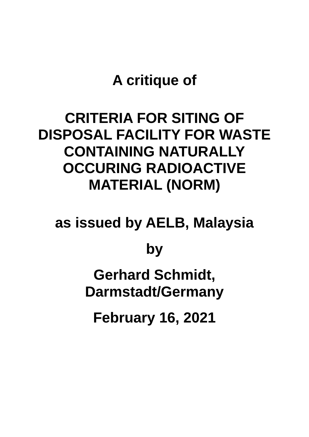## **A critique of**

## **CRITERIA FOR SITING OF DISPOSAL FACILITY FOR WASTE CONTAINING NATURALLY OCCURING RADIOACTIVE MATERIAL (NORM)**

**as issued by AELB, Malaysia**

**by**

**Gerhard Schmidt, Darmstadt/Germany**

**February 16, 2021**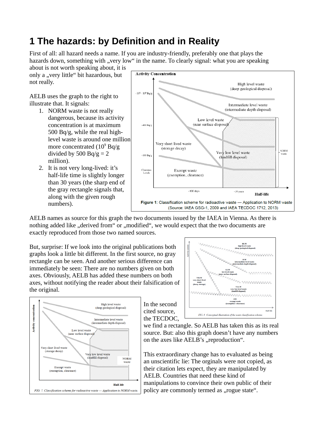## **1 The hazards: by Definition and in Reality**

First of all: all hazard needs a name. If you are industry-friendly, preferably one that plays the hazards down, something with "very low" in the name. To clearly signal: what you are speaking

about is not worth speaking about, it is only a "very little" bit hazardous, but not really.

AELB uses the graph to the right to illustrate that. It signals:

- 1. NORM waste is not really dangerous, because its activity concentration is at maximum 500 Bq/g, while the real highlevel waste is around one million more concentrated ( $10^9$  Bq/g divided by 500 Bq/g  $= 2$ million).
- 2. It is not very long-lived: it's half-life time is slightly longer than 30 years (the sharp end of the gray rectangle signals that, along with the given rough numbers).



AELB names as source for this graph the two documents issued by the IAEA in Vienna. As there is nothing added like ..derived from" or ..modified", we would expect that the two documents are exactly reproduced from those two named sources.

But, surprise: If we look into the original publications both graphs look a little bit different. In the first source, no gray rectangle can be seen. And another serious difference can immediately be seen: There are no numbers given on both axes. Obviously, AELB has added these numbers on both axes, without notifying the reader about their falsification of the original.





In the second cited source, the TECDOC,

we find a rectangle. So AELB has taken this as its real source. But: also this graph doesn't have any numbers on the axes like AELB's "reproduction".

This extraordinary change has to evaluated as being an unscientific lie: The orginals were not copied, as their citation lets expect, they are manipulated by AELB. Countries that need these kind of manipulations to convince their own public of their policy are commonly termed as "rogue state".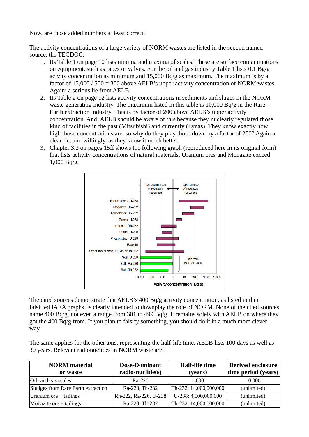Now, are those added numbers at least correct?

The activity concentrations of a large variety of NORM wastes are listed in the second named source, the TECDOC:

- 1. Its Table 1 on page 10 lists minima and maxima of scales. These are surface contaminations on equipment, such as pipes or valves. For the oil and gas industry Table 1 lists 0.1 Bg/g acivity concentration as minimum and 15,000 Bq/g as maximum. The maximum is by a factor of 15,000 / 500 = 300 above AELB's upper activity concentration of NORM wastes. Again: a serious lie from AELB.
- 2. Its Table 2 on page 12 lists activity concentrations in sediments and sluges in the NORMwaste generating industry. The maximum listed in this table is 10,000 Bq/g in the Rare Earth extraction industry. This is by factor of 200 above AELB's upper activity concentration. And: AELB should be aware of this because they nuclearly regulated those kind of facilities in the past (Mitsubishi) and currently (Lynas). They know exactly how high those concentrations are, so why do they play those down by a factor of 200? Again a clear lie, and willingly, as they know it much better.
- 3. Chapter 3.3 on pages 15ff shows the following graph (reproduced here in its original form) that lists activity concentrations of natural materials. Uranium ores and Monazite exceed 1,000 Bq/g.



The cited sources demonstrate that AELB's 400 Bq/g activity concentration, as listed in their falsified IAEA graphs, is clearly intended to downplay the role of NORM. None of the cited sources name 400 Bq/g, not even a range from 301 to 499 Bq/g. It remains solely with AELB on where they got the 400 Bq/g from. If you plan to falsify something, you should do it in a much more clever way.

The same applies for the other axis, representing the half-life time. AELB lists 100 days as well as 30 years. Relevant radionuclides in NORM waste are:

| <b>NORM</b> material<br>or waste   | <b>Dose-Dominant</b><br>radio-nuclide(s) | Half-life time<br>(years) | <b>Derived enclosure</b><br>time period (years) |
|------------------------------------|------------------------------------------|---------------------------|-------------------------------------------------|
| Oil- and gas scales                | Ra-226                                   | 1,600                     | 10,000                                          |
| Sludges from Rare Earth extraction | Ra-228, Th-232                           | Th-232: 14,000,000,000    | (unlimited)                                     |
| Uranium ore $+$ tailings           | Rn-222, Ra-226, U-238                    | U-238: 4,500,000,000      | (unlimited)                                     |
| Monazite ore $+$ tailings          | Ra-228, Th-232                           | Th-232: 14,000,000,000    | (unlimited)                                     |